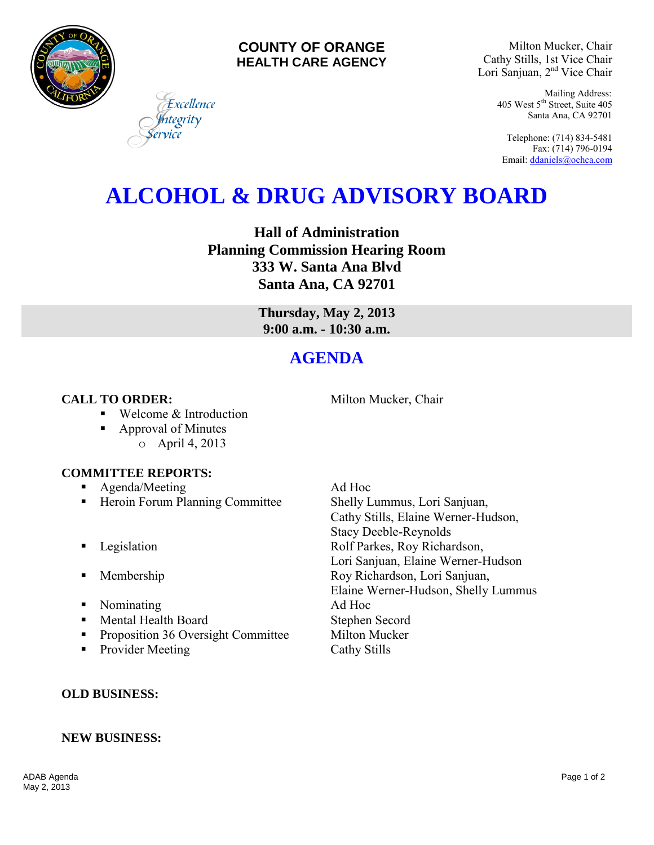



Milton Mucker, Chair Cathy Stills, 1st Vice Chair Lori Sanjuan, 2nd Vice Chair

> Mailing Address: 405 West 5th Street, Suite 405 Santa Ana, CA 92701

Telephone: (714) 834-5481 Fax: (714) 796-0194 Email[: ddaniels@ochca.com](mailto:ddaniels@ochca.com)

# **ALCOHOL & DRUG ADVISORY BOARD**

**Hall of Administration Planning Commission Hearing Room 333 W. Santa Ana Blvd Santa Ana, CA 92701** 

> **Thursday, May 2, 2013 9:00 a.m. - 10:30 a.m.**

# **AGENDA**

# **CALL TO ORDER:** Milton Mucker, Chair

■ Welcome & Introduction

Excellence tegrity

■ Approval of Minutes o April 4, 2013

## **COMMITTEE REPORTS:**

- Agenda/Meeting Ad Hoc
- Heroin Forum Planning Committee Shelly Lummus, Lori Sanjuan,
- 
- 
- Nominating Ad Hoc
- Mental Health Board Stephen Secord
- **Proposition 36 Oversight Committee Milton Mucker**
- Provider Meeting Cathy Stills

Cathy Stills, Elaine Werner-Hudson, Stacy Deeble-Reynolds **Example 3** Legislation **Rolf Parkes, Roy Richardson,** Lori Sanjuan, Elaine Werner-Hudson **Membership Roy Richardson, Lori Sanjuan,** Elaine Werner-Hudson, Shelly Lummus

# **OLD BUSINESS:**

## **NEW BUSINESS:**